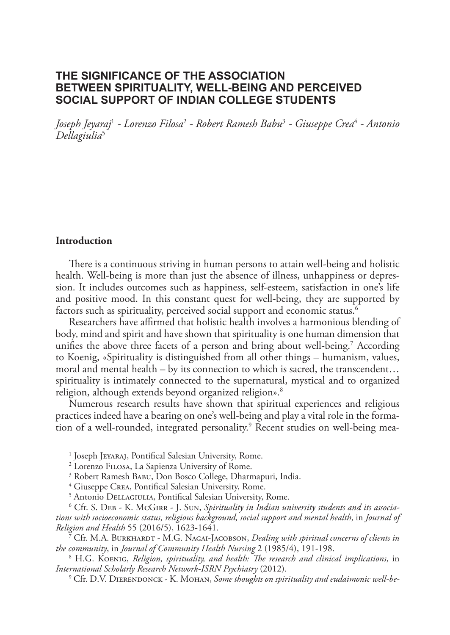# **THE SIGNIFICANCE OF THE ASSOCIATION BETWEEN SPIRITUALITY, WELL-BEING AND PERCEIVED SOCIAL SUPPORT OF INDIAN COLLEGE STUDENTS**

*Joseph Jeyaraj*<sup>1</sup>  *- Lorenzo Filosa*<sup>2</sup>  *- Robert Ramesh Babu*<sup>3</sup>  *- Giuseppe Crea*<sup>4</sup>  *- Antonio Dellagiulia*<sup>5</sup>

#### **Introduction**

There is a continuous striving in human persons to attain well-being and holistic health. Well-being is more than just the absence of illness, unhappiness or depression. It includes outcomes such as happiness, self-esteem, satisfaction in one's life and positive mood. In this constant quest for well-being, they are supported by factors such as spirituality, perceived social support and economic status.<sup>6</sup>

Researchers have affirmed that holistic health involves a harmonious blending of body, mind and spirit and have shown that spirituality is one human dimension that unifies the above three facets of a person and bring about well-being.7 According to Koenig, «Spirituality is distinguished from all other things – humanism, values, moral and mental health – by its connection to which is sacred, the transcendent… spirituality is intimately connected to the supernatural, mystical and to organized religion, although extends beyond organized religion».<sup>8</sup>

Numerous research results have shown that spiritual experiences and religious practices indeed have a bearing on one's well-being and play a vital role in the formation of a well-rounded, integrated personality.<sup>9</sup> Recent studies on well-being mea-

1 Joseph Jeyaraj, Pontifical Salesian University, Rome.

2 Lorenzo Filosa, La Sapienza University of Rome.

<sup>3</sup> Robert Ramesh BABU, Don Bosco College, Dharmapuri, India.

4 Giuseppe Crea, Pontifical Salesian University, Rome.

<sup>5</sup> Antonio DELLAGIULIA, Pontifical Salesian University, Rome.

<sup>6</sup> Cfr. S. Dев - К. McGırr - J. Sun, *Spirituality in Indian university students and its associations with socioeconomic status, religious background, social support and mental health*, in *Journal of Religion and Health* 55 (2016/5), 1623-1641.

7 Cfr. M.A. BURKHARDT - M.G. NAGAI-JACOBSON, *Dealing with spiritual concerns of clients in the community*, in *Journal of Community Health Nursing* 2 (1985/4), 191-198.

8 H.G. Koenig, *Religion, spirituality, and health: The research and clinical implications*, in *International Scholarly Research Network-ISRN Psychiatry* (2012).

<sup>9</sup> Cfr. D.V. DIERENDONCK - K. MOHAN, *Some thoughts on spirituality and eudaimonic well-be-*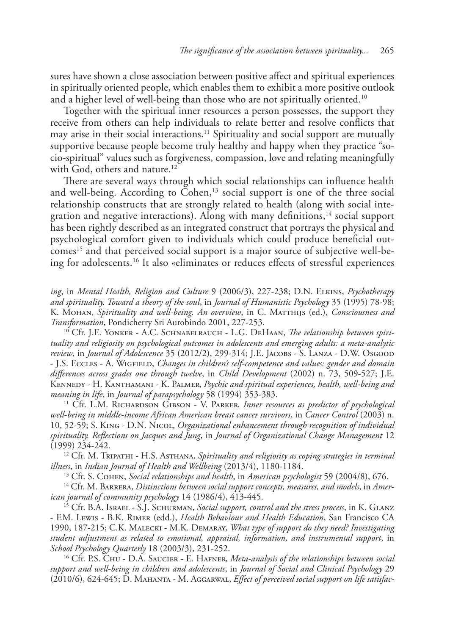sures have shown a close association between positive affect and spiritual experiences in spiritually oriented people, which enables them to exhibit a more positive outlook and a higher level of well-being than those who are not spiritually oriented.<sup>10</sup>

Together with the spiritual inner resources a person possesses, the support they receive from others can help individuals to relate better and resolve conflicts that may arise in their social interactions.<sup>11</sup> Spirituality and social support are mutually supportive because people become truly healthy and happy when they practice "socio-spiritual" values such as forgiveness, compassion, love and relating meaningfully with God, others and nature.<sup>12</sup>

There are several ways through which social relationships can influence health and well-being. According to Cohen,<sup>13</sup> social support is one of the three social relationship constructs that are strongly related to health (along with social integration and negative interactions). Along with many definitions, $14$  social support has been rightly described as an integrated construct that portrays the physical and psychological comfort given to individuals which could produce beneficial outcomes<sup>15</sup> and that perceived social support is a major source of subjective well-being for adolescents.16 It also «eliminates or reduces effects of stressful experiences

*ing*, in *Mental Health, Religion and Culture* 9 (2006/3), 227-238; D.N. Elkins, *Psychotherapy and spirituality. Toward a theory of the soul*, in *Journal of Humanistic Psychology* 35 (1995) 78-98; K. Mohan, *Spirituality and well-being. An overview*, in C. Matthijs (ed.), *Consciousness and Transformation*, Pondicherry Sri Aurobindo 2001, 227-253.

10 Cfr. J.E. Yonker - A.C. Schnabelrauch - L.G. DeHaan, *The relationship between spirituality and religiosity on psychological outcomes in adolescents and emerging adults: a meta-analytic review*, in *Journal of Adolescence* 35 (2012/2), 299-314; J.E. Jacobs - S. Lanza - D.W. Osgood - J.S. Eccles - A. Wigfield, *Changes in children's self-competence and values: gender and domain differences across grades one through twelve*, in *Child Development* (2002) n. 73, 509-527; J.E. Kennedy - H. Kanthamani - K. Palmer, *Psychic and spiritual experiences, health, well-being and meaning in life*, in *Journal of parapsychology* 58 (1994) 353-383.

<sup>11</sup> Cfr. L.M. RICHARDSON GIBSON - V. PARKER, *Inner resources as predictor of psychological well-being in middle-income African American breast cancer survivors*, in *Cancer Control* (2003) n. 10, 52-59; S. King - D.N. Nicol, *Organizational enhancement through recognition of individual spirituality. Reflections on Jacques and Jung*, in *Journal of Organizational Change Management* 12 (1999) 234-242.

<sup>12</sup> Cfr. M. TRIPATHI - H.S. ASTHANA, *Spirituality and religiosity as coping strategies in terminal illness*, in *Indian Journal of Health and Wellbeing* (2013/4), 1180-1184.

13 Cfr. S. Cohen, *Social relationships and health*, in *American psychologist* 59 (2004/8), 676.

14 Cfr. M. Barrera, *Distinctions between social support concepts, measures, and models*, in *American journal of community psychology* 14 (1986/4), 413-445.

15 Cfr. B.A. Israel - S.J. Schurman, *Social support, control and the stress process*, in K. Glanz - F.M. Lewis - B.K. Rimer (edd.), *Health Behaviour and Health Education*, San Francisco CA 1990, 187-215; C.K. Malecki - M.K. Demaray, *What type of support do they need? Investigating student adjustment as related to emotional, appraisal, information, and instrumental support*, in *School Psychology Quarterly* 18 (2003/3), 231-252.

16 Cfr. P.S. Chu - D.A. Saucier - E. Hafner, *Meta-analysis of the relationships between social support and well-being in children and adolescents*, in *Journal of Social and Clinical Psychology* 29 (2010/6), 624-645; D. Mahanta - M. Aggarwal, *Effect of perceived social support on life satisfac-*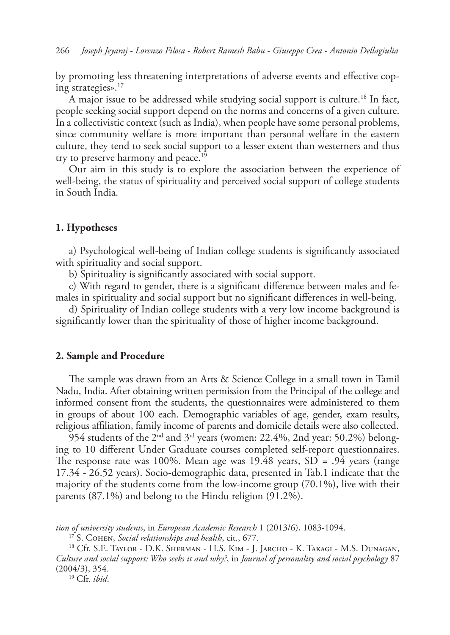by promoting less threatening interpretations of adverse events and effective coping strategies».<sup>17</sup>

A major issue to be addressed while studying social support is culture.<sup>18</sup> In fact, people seeking social support depend on the norms and concerns of a given culture. In a collectivistic context (such as India), when people have some personal problems, since community welfare is more important than personal welfare in the eastern culture, they tend to seek social support to a lesser extent than westerners and thus try to preserve harmony and peace.<sup>19</sup>

Our aim in this study is to explore the association between the experience of well-being, the status of spirituality and perceived social support of college students in South India.

#### **1. Hypotheses**

a) Psychological well-being of Indian college students is significantly associated with spirituality and social support.

b) Spirituality is significantly associated with social support.

c) With regard to gender, there is a significant difference between males and females in spirituality and social support but no significant differences in well-being.

d) Spirituality of Indian college students with a very low income background is significantly lower than the spirituality of those of higher income background.

#### **2. Sample and Procedure**

The sample was drawn from an Arts & Science College in a small town in Tamil Nadu, India. After obtaining written permission from the Principal of the college and informed consent from the students, the questionnaires were administered to them in groups of about 100 each. Demographic variables of age, gender, exam results, religious affiliation, family income of parents and domicile details were also collected.

 $954$  students of the 2<sup>nd</sup> and 3<sup>rd</sup> years (women: 22.4%, 2nd year: 50.2%) belonging to 10 different Under Graduate courses completed self-report questionnaires. The response rate was 100%. Mean age was 19.48 years, SD = .94 years (range 17.34 - 26.52 years). Socio-demographic data, presented in Tab.1 indicate that the majority of the students come from the low-income group (70.1%), live with their parents (87.1%) and belong to the Hindu religion (91.2%).

*tion of university students*, in *European Academic Research* 1 (2013/6), 1083-1094.

17 S. Cohen, *Social relationships and health*, cit., 677.

18 Cfr. S.E. Taylor - D.K. Sherman - H.S. Kim - J. Jarcho - K. Takagi - M.S. Dunagan, *Culture and social support: Who seeks it and why?*, in *Journal of personality and social psychology* 87 (2004/3), 354.

19 Cfr. *ibid*.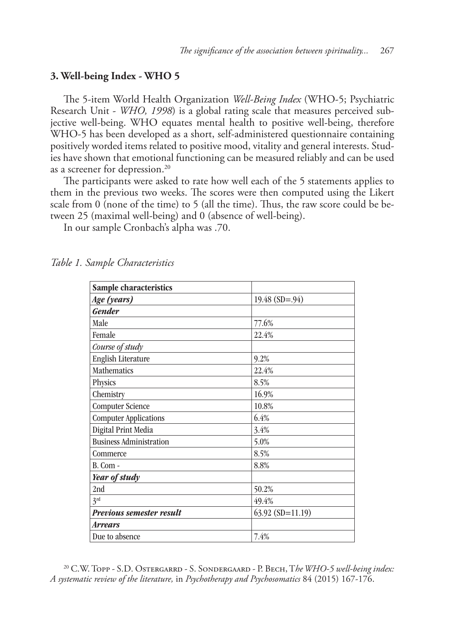### **3. Well-being Index - WHO 5**

The 5-item World Health Organization *Well-Being Index* (WHO-5; Psychiatric Research Unit - *WHO, 1998*) is a global rating scale that measures perceived subjective well-being. WHO equates mental health to positive well-being, therefore WHO-5 has been developed as a short, self-administered questionnaire containing positively worded items related to positive mood, vitality and general interests. Studies have shown that emotional functioning can be measured reliably and can be used as a screener for depression.20

The participants were asked to rate how well each of the 5 statements applies to them in the previous two weeks. The scores were then computed using the Likert scale from 0 (none of the time) to 5 (all the time). Thus, the raw score could be between 25 (maximal well-being) and 0 (absence of well-being).

In our sample Cronbach's alpha was .70.

| Sample characteristics          |                    |
|---------------------------------|--------------------|
| Age (years)                     | $19.48$ (SD=.94)   |
| <b>Gender</b>                   |                    |
| Male                            | 77.6%              |
| Female                          | 22.4%              |
| Course of study                 |                    |
| English Literature              | 9.2%               |
| Mathematics                     | 22.4%              |
| Physics                         | 8.5%               |
| Chemistry                       | 16.9%              |
| <b>Computer Science</b>         | 10.8%              |
| <b>Computer Applications</b>    | 6.4%               |
| Digital Print Media             | 3.4%               |
| <b>Business Administration</b>  | 5.0%               |
| Commerce                        | 8.5%               |
| B. Com -                        | 8.8%               |
| Year of study                   |                    |
| 2nd                             | 50.2%              |
| 3 <sup>rd</sup>                 | 49.4%              |
| <b>Previous semester result</b> | $63.92$ (SD=11.19) |
| <i><b>Arrears</b></i>           |                    |
| Due to absence                  | 7.4%               |

*Table 1. Sample Characteristics*

20 C.W. Topp - S.D. Ostergarrd - S. Sondergaard - P. Bech, T*he WHO-5 well-being index: A systematic review of the literature,* in *Psychotherapy and Psychosomatics* 84 (2015) 167-176.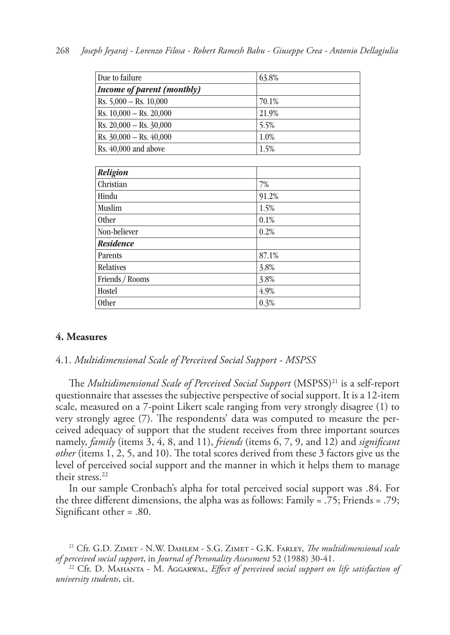| Due to failure                    | 63.8% |
|-----------------------------------|-------|
| <b>Income of parent (monthly)</b> |       |
| Rs. $5,000 -$ Rs. $10,000$        | 70.1% |
| Rs. 10,000 - Rs. 20,000           | 21.9% |
| Rs. 20,000 - Rs. 30,000           | 5.5%  |
| Rs. 30,000 - Rs. 40,000           | 1.0%  |
| Rs. 40,000 and above              | 1.5%  |
|                                   |       |
| <b>Religion</b>                   |       |
| Christian                         | 7%    |
| Hindu                             | 91.2% |
| Muslim                            | 1.5%  |
| <b>Other</b>                      | 0.1%  |
| Non-believer                      | 0.2%  |
| <b>Residence</b>                  |       |
| Parents                           | 87.1% |
| Relatives                         | 3.8%  |
| Friends / Rooms                   | 3.8%  |
| Hostel                            | 4.9%  |
| <b>Other</b>                      | 0.3%  |

### **4. Measures**

#### 4.1. *Multidimensional Scale of Perceived Social Support - MSPSS*

The *Multidimensional Scale of Perceived Social Support* (MSPSS)21 is a self-report questionnaire that assesses the subjective perspective of social support. It is a 12-item scale, measured on a 7-point Likert scale ranging from very strongly disagree (1) to very strongly agree (7). The respondents' data was computed to measure the perceived adequacy of support that the student receives from three important sources namely, *family* (items 3, 4, 8, and 11), *friends* (items 6, 7, 9, and 12) and *significant other* (items 1, 2, 5, and 10). The total scores derived from these 3 factors give us the level of perceived social support and the manner in which it helps them to manage their stress.22

In our sample Cronbach's alpha for total perceived social support was .84. For the three different dimensions, the alpha was as follows: Family = .75; Friends = .79; Significant other = .80.

<sup>21</sup> Cfr. G.D. Zimet - N.W. Dahlem - S.G. Zimet - G.K. Farley, *The multidimensional scale of perceived social support*, in *Journal of Personality Assessment* 52 (1988) 30-41.

 $22$  Cfr. D. Mahanta - M. Aggarwal, *Effect of perceived social support on life satisfaction of university students*, cit.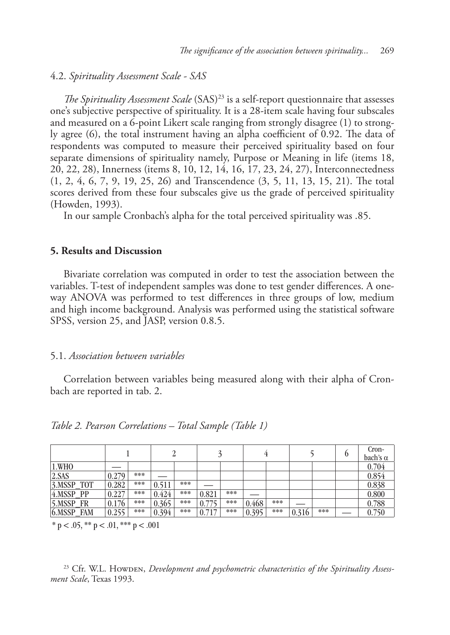### 4.2. *Spirituality Assessment Scale - SAS*

*The Spirituality Assessment Scale* (SAS)<sup>23</sup> is a self-report questionnaire that assesses one's subjective perspective of spirituality. It is a 28-item scale having four subscales and measured on a 6-point Likert scale ranging from strongly disagree (1) to strongly agree (6), the total instrument having an alpha coefficient of 0.92. The data of respondents was computed to measure their perceived spirituality based on four separate dimensions of spirituality namely, Purpose or Meaning in life (items 18, 20, 22, 28), Innerness (items 8, 10, 12, 14, 16, 17, 23, 24, 27), Interconnectedness (1, 2, 4, 6, 7, 9, 19, 25, 26) and Transcendence (3, 5, 11, 13, 15, 21). The total scores derived from these four subscales give us the grade of perceived spirituality (Howden, 1993).

In our sample Cronbach's alpha for the total perceived spirituality was .85.

### **5. Results and Discussion**

Bivariate correlation was computed in order to test the association between the variables. T-test of independent samples was done to test gender differences. A oneway ANOVA was performed to test differences in three groups of low, medium and high income background. Analysis was performed using the statistical software SPSS, version 25, and JASP, version 0.8.5.

### 5.1. *Association between variables*

Correlation between variables being measured along with their alpha of Cronbach are reported in tab. 2.

|                         |       |     |       |     |       |     |       |     |       |     | Cron-<br>bach's $\alpha$ |
|-------------------------|-------|-----|-------|-----|-------|-----|-------|-----|-------|-----|--------------------------|
| 1.WHO                   |       |     |       |     |       |     |       |     |       |     | 0.704                    |
| 2.SAS                   | 0.279 | *** |       |     |       |     |       |     |       |     | 0.854                    |
| 3.MSSP<br><b>TOT</b>    | 0.282 | *** | 0.511 | *** |       |     |       |     |       |     | 0.838                    |
| 4.MSSP PP               | 0.227 | *** | 0.424 | *** | 0.821 | *** |       |     |       |     | 0.800                    |
| 5.MSSP FR               | 0.176 | *** | 0.365 | *** | 0.775 | *** | 0.468 | *** |       |     | 0.788                    |
| $6.$ MSSP<br><b>FAM</b> | 0.255 | *** | 0.394 | *** | 0.71  | *** | 0.395 | *** | 0.316 | *** | 0.750                    |

*Table 2. Pearson Correlations – Total Sample (Table 1)*

 $*$  p < .05,  $*$  p < .01,  $*$   $*$  p < .001

<sup>23</sup> Cfr. W.L. Howden, *Development and psychometric characteristics of the Spirituality Assessment Scale*, Texas 1993.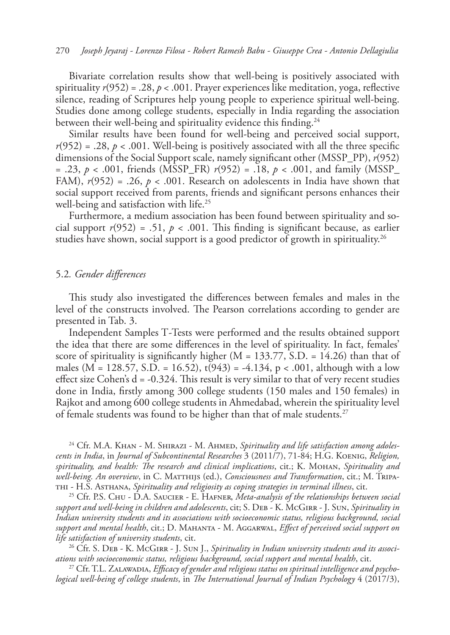Bivariate correlation results show that well-being is positively associated with spirituality *r*(952) = .28, *p* < .001. Prayer experiences like meditation, yoga, reflective silence, reading of Scriptures help young people to experience spiritual well-being. Studies done among college students, especially in India regarding the association between their well-being and spirituality evidence this finding.<sup>24</sup>

Similar results have been found for well-being and perceived social support,  $r(952) = .28$ ,  $p < .001$ . Well-being is positively associated with all the three specific dimensions of the Social Support scale, namely significant other (MSSP\_PP), *r*(952) = .23, *p* < .001, friends (MSSP\_FR) *r*(952) = .18, *p* < .001, and family (MSSP\_ FAM),  $r(952) = .26$ ,  $p < .001$ . Research on adolescents in India have shown that social support received from parents, friends and significant persons enhances their well-being and satisfaction with life.<sup>25</sup>

Furthermore, a medium association has been found between spirituality and social support  $r(952) = .51$ ,  $p < .001$ . This finding is significant because, as earlier studies have shown, social support is a good predictor of growth in spirituality.<sup>26</sup>

#### 5.2*. Gender differences*

This study also investigated the differences between females and males in the level of the constructs involved. The Pearson correlations according to gender are presented in Tab. 3.

Independent Samples T*-*Tests were performed and the results obtained support the idea that there are some differences in the level of spirituality. In fact, females' score of spirituality is significantly higher  $(M = 133.77, S.D. = 14.26)$  than that of males (M = 128.57, S.D. = 16.52),  $t(943) = -4.134$ , p < .001, although with a low effect size Cohen's  $d = -0.324$ . This result is very similar to that of very recent studies done in India, firstly among 300 college students (150 males and 150 females) in Rajkot and among 600 college students in Ahmedabad, wherein the spirituality level of female students was found to be higher than that of male students.<sup>27</sup>

<sup>24</sup> Cfr. M.A. KHAN - M. SHIRAZI - M. AHMED, Spirituality and life satisfaction among adoles*cents in India*, in *Journal of Subcontinental Researches* 3 (2011/7), 71-84; H.G. Koenig, *Religion, spirituality, and health: The research and clinical implications*, cit.; K. Mohan, *Spirituality and well-being. An overview*, in C. Matthijs (ed.), *Consciousness and Transformation*, cit.; M. Tripathi - H.S. Asthana, *Spirituality and religiosity as coping strategies in terminal illness*, cit.

25 Cfr. P.S. Chu - D.A. Saucier - E. Hafner, *Meta-analysis of the relationships between social support and well-being in children and adolescents*, cit; S. Deb - K. McGirr - J. Sun, *Spirituality in Indian university students and its associations with socioeconomic status, religious background, social support and mental health*, cit.; D. Mahanta - M. Aggarwal, *Effect of perceived social support on life satisfaction of university students*, cit.

26 Cfr. S. Deb - K. McGirr - J. Sun J., *Spirituality in Indian university students and its associations with socioeconomic status, religious background, social support and mental health*, cit.

27 Cfr. T.L. Zalawadia, *Efficacy of gender and religious status on spiritual intelligence and psychological well-being of college students*, in *The International Journal of Indian Psychology* 4 (2017/3),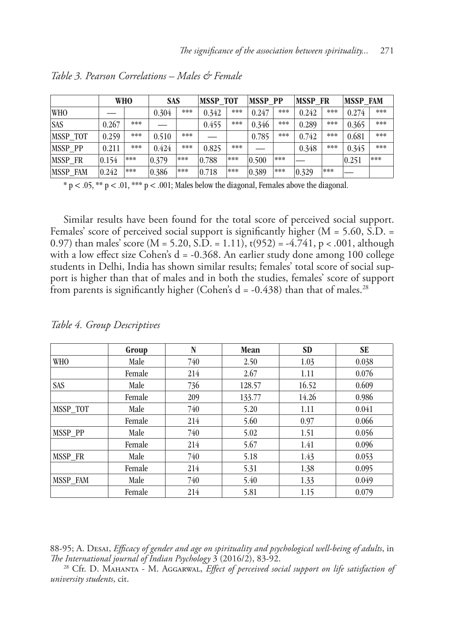|                 |       | <b>WHO</b> | <b>SAS</b> |     | <b>MSSP TOT</b> |     | <b>MSSP PP</b> |     | <b>MSSP FR</b>  |     | <b>MSSP FAM</b> |     |
|-----------------|-------|------------|------------|-----|-----------------|-----|----------------|-----|-----------------|-----|-----------------|-----|
| <b>WHO</b>      |       |            | 0.304      | *** | 0.342           | *** | 0.247          | *** | 0.242           | *** | 0.274           | *** |
| <b>SAS</b>      | 0.267 | ***        |            |     | 0.455           | *** | 0.346          | *** | 0.289           | *** | 0.365           | *** |
| <b>MSSP TOT</b> | 0.259 | ***        | 0.510      | *** |                 |     | 0.785          | *** | 0.742           | *** | 0.681           | *** |
| <b>MSSP PP</b>  | 0.211 | ***        | 0.424      | *** | 0.825           | *** |                |     | 0.348           | *** | 0.345           | *** |
| <b>MSSP FR</b>  | 0.154 | ***        | 0.379      | *** | 0.788           | *** | 0.500          | *** |                 |     | 0.251           | *** |
| MSSP FAM        | 0.242 | ***        | 0.386      | *** | 0.718           | *** | 0.389          | *** | $ 0.329\rangle$ | *** |                 |     |

*Table 3. Pearson Correlations – Males & Female*

 $* p < .05, ** p < .01, *** p < .001;$  Males below the diagonal, Females above the diagonal.

Similar results have been found for the total score of perceived social support. Females' score of perceived social support is significantly higher  $(M = 5.60, S.D. =$ 0.97) than males' score  $(M = 5.20, S.D. = 1.11)$ ,  $t(952) = -4.741$ ,  $p < .001$ , although with a low effect size Cohen's d = -0.368. An earlier study done among 100 college students in Delhi, India has shown similar results; females' total score of social support is higher than that of males and in both the studies, females' score of support from parents is significantly higher (Cohen's  $d = -0.438$ ) than that of males.<sup>28</sup>

|            | Group  | N   | Mean   | <b>SD</b> | <b>SE</b> |
|------------|--------|-----|--------|-----------|-----------|
| <b>WHO</b> | Male   | 740 | 2.50   | 1.03      | 0.038     |
|            | Female | 214 | 2.67   | 1.11      | 0.076     |
| <b>SAS</b> | Male   | 736 | 128.57 | 16.52     | 0.609     |
|            | Female | 209 | 133.77 | 14.26     | 0.986     |
| MSSP TOT   | Male   | 740 | 5.20   | 1.11      | 0.041     |
|            | Female | 214 | 5.60   | 0.97      | 0.066     |
| MSSP PP    | Male   | 740 | 5.02   | 1.51      | 0.056     |
|            | Female | 214 | 5.67   | 1.41      | 0.096     |
| MSSP FR    | Male   | 740 | 5.18   | 1.43      | 0.053     |
|            | Female | 214 | 5.31   | 1.38      | 0.095     |
| MSSP FAM   | Male   | 740 | 5.40   | 1.33      | 0.049     |
|            | Female | 214 | 5.81   | 1.15      | 0.079     |

*Table 4. Group Descriptives*

88-95; A. Desai, *Efficacy of gender and age on spirituality and psychological well-being of adults*, in

*The International journal of Indian Psychology* 3 (2016/2), 83-92. 28 Cfr. D. Mahanta - M. Aggarwal, *Effect of perceived social support on life satisfaction of university students*, cit.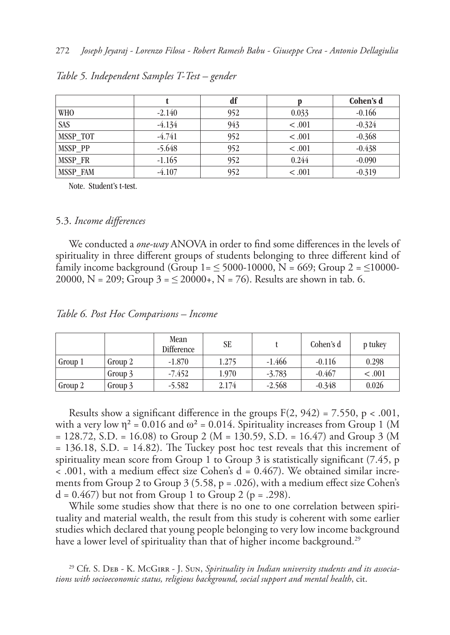|            |          | df  |         | Cohen's d |
|------------|----------|-----|---------|-----------|
| <b>WHO</b> | $-2.140$ | 952 | 0.033   | $-0.166$  |
| <b>SAS</b> | $-4.134$ | 943 | < 0.001 | $-0.324$  |
| MSSP TOT   | $-4.741$ | 952 | < 0.001 | $-0.368$  |
| MSSP PP    | $-5.648$ | 952 | < 0.001 | $-0.438$  |
| MSSP FR    | $-1.165$ | 952 | 0.244   | $-0.090$  |
| MSSP FAM   | $-4.107$ | 952 | < 0.001 | $-0.319$  |

*Table 5. Independent Samples T-Test – gender*

Note. Student's t-test.

#### 5.3. *Income differences*

We conducted a *one-way* ANOVA in order to find some differences in the levels of spirituality in three different groups of students belonging to three different kind of family income background (Group  $1 = 5000 - 10000$ ,  $N = 669$ ; Group  $2 = 510000 - 10000$ 20000, N = 209; Group  $3 = 20000+$ , N = 76). Results are shown in tab. 6.

|  |  |  |  |  |  |  |  | Table 6. Post Hoc Comparisons – Income |
|--|--|--|--|--|--|--|--|----------------------------------------|
|--|--|--|--|--|--|--|--|----------------------------------------|

|         |         | Mean<br>Difference | <b>SE</b> |          | Cohen's d | p tukey |
|---------|---------|--------------------|-----------|----------|-----------|---------|
| Group 1 | Group 2 | $-1.870$           | 1.275     | $-1.466$ | $-0.116$  | 0.298   |
|         | Group 3 | $-7.452$           | 1.970     | $-3.783$ | $-0.467$  | < 0.001 |
| Group 2 | Group 3 | $-5.582$           | 2.174     | $-2.568$ | $-0.348$  | 0.026   |

Results show a significant difference in the groups  $F(2, 942) = 7.550$ , p < .001, with a very low  $\eta^2 = 0.016$  and  $\omega^2 = 0.014$ . Spirituality increases from Group 1 (M = 128.72, S.D. = 16.08) to Group 2 (M = 130.59, S.D. = 16.47) and Group 3 (M = 136.18, S.D. = 14.82). The Tuckey post hoc test reveals that this increment of spirituality mean score from Group 1 to Group 3 is statistically significant (7.45, p  $\alpha$  .001, with a medium effect size Cohen's d = 0.467). We obtained similar increments from Group 2 to Group 3 (5.58, p = .026), with a medium effect size Cohen's  $d = 0.467$  but not from Group 1 to Group 2 (p = .298).

While some studies show that there is no one to one correlation between spirituality and material wealth, the result from this study is coherent with some earlier studies which declared that young people belonging to very low income background have a lower level of spirituality than that of higher income background.<sup>29</sup>

<sup>29</sup> Cfr. S. DEB - K. McGIRR - J. Sun, *Spirituality in Indian university students and its associations with socioeconomic status, religious background, social support and mental health*, cit.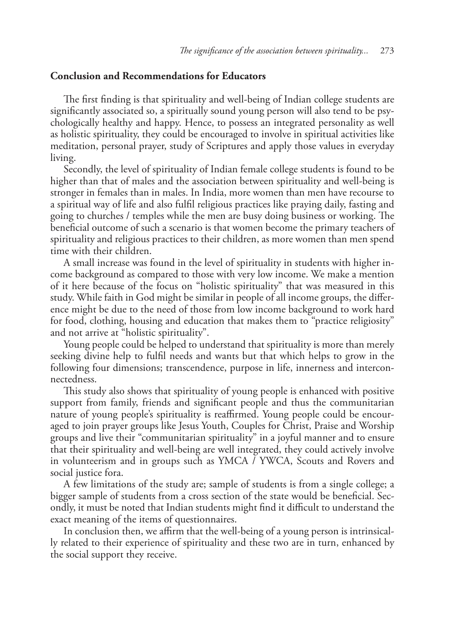### **Conclusion and Recommendations for Educators**

The first finding is that spirituality and well-being of Indian college students are significantly associated so, a spiritually sound young person will also tend to be psychologically healthy and happy. Hence, to possess an integrated personality as well as holistic spirituality, they could be encouraged to involve in spiritual activities like meditation, personal prayer, study of Scriptures and apply those values in everyday living.

Secondly, the level of spirituality of Indian female college students is found to be higher than that of males and the association between spirituality and well-being is stronger in females than in males. In India, more women than men have recourse to a spiritual way of life and also fulfil religious practices like praying daily, fasting and going to churches / temples while the men are busy doing business or working. The beneficial outcome of such a scenario is that women become the primary teachers of spirituality and religious practices to their children, as more women than men spend time with their children.

A small increase was found in the level of spirituality in students with higher income background as compared to those with very low income. We make a mention of it here because of the focus on "holistic spirituality" that was measured in this study. While faith in God might be similar in people of all income groups, the difference might be due to the need of those from low income background to work hard for food, clothing, housing and education that makes them to "practice religiosity" and not arrive at "holistic spirituality".

Young people could be helped to understand that spirituality is more than merely seeking divine help to fulfil needs and wants but that which helps to grow in the following four dimensions; transcendence, purpose in life, innerness and interconnectedness.

This study also shows that spirituality of young people is enhanced with positive support from family, friends and significant people and thus the communitarian nature of young people's spirituality is reaffirmed. Young people could be encouraged to join prayer groups like Jesus Youth, Couples for Christ, Praise and Worship groups and live their "communitarian spirituality" in a joyful manner and to ensure that their spirituality and well-being are well integrated, they could actively involve in volunteerism and in groups such as YMCA / YWCA, Scouts and Rovers and social justice fora.

A few limitations of the study are; sample of students is from a single college; a bigger sample of students from a cross section of the state would be beneficial. Secondly, it must be noted that Indian students might find it difficult to understand the exact meaning of the items of questionnaires.

In conclusion then, we affirm that the well-being of a young person is intrinsically related to their experience of spirituality and these two are in turn, enhanced by the social support they receive.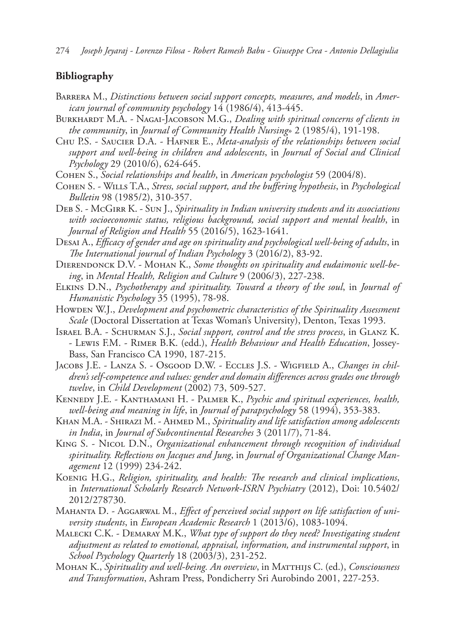274 *Joseph Jeyaraj - Lorenzo Filosa - Robert Ramesh Babu - Giuseppe Crea - Antonio Dellagiulia*

## **Bibliography**

- BARRERA M., Distinctions between social support concepts, measures, and models, in Amer*ican journal of community psychology* 14 (1986/4), 413-445.
- BURKHARDT M.A. NAGAI-JACOBSON M.G., *Dealing with spiritual concerns of clients in the community*, in *Journal of Community Health Nursing*» 2 (1985/4), 191-198.
- Chu P.S. Saucier D.A. Hafner E., *Meta-analysis of the relationships between social support and well-being in children and adolescents*, in *Journal of Social and Clinical Psychology* 29 (2010/6), 624-645.
- Cohen S., *Social relationships and health*, in *American psychologist* 59 (2004/8).
- Cohen S. Wills T.A., *Stress, social support, and the buffering hypothesis*, in *Psychological Bulletin* 98 (1985/2), 310-357.
- Deb S. McGirr K. Sun J., *Spirituality in Indian university students and its associations with socioeconomic status, religious background, social support and mental health*, in *Journal of Religion and Health* 55 (2016/5), 1623-1641.
- Desai A., *Efficacy of gender and age on spirituality and psychological well-being of adults*, in *The International journal of Indian Psychology* 3 (2016/2), 83-92.
- DIERENDONCK D.V. MOHAN K., *Some thoughts on spirituality and eudaimonic well-being*, in *Mental Health, Religion and Culture* 9 (2006/3), 227-238.
- Elkins D.N., *Psychotherapy and spirituality. Toward a theory of the soul*, in *Journal of Humanistic Psychology* 35 (1995), 78-98.
- Howden W.J., *Development and psychometric characteristics of the Spirituality Assessment Scale* (Doctoral Dissertation at Texas Woman's University), Denton, Texas 1993.
- Israel B.A. Schurman S.J., *Social support, control and the stress process*, in Glanz K. - Lewis F.M. - Rimer B.K. (edd.), *Health Behaviour and Health Education*, Jossey-Bass, San Francisco CA 1990, 187-215.
- Jacobs J.E. Lanza S. Osgood D.W. Eccles J.S. Wigfield A., *Changes in children's self-competence and values: gender and domain differences across grades one through twelve*, in *Child Development* (2002) 73, 509-527.
- Kennedy J.E. Kanthamani H. Palmer K., *Psychic and spiritual experiences, health, well-being and meaning in life*, in *Journal of parapsychology* 58 (1994), 353-383.
- KHAN M.A. SHIRAZI M. AHMED M., *Spirituality and life satisfaction among adolescents in India*, in *Journal of Subcontinental Researches* 3 (2011/7), 71-84.
- King S. Nicol D.N., *Organizational enhancement through recognition of individual spirituality. Reflections on Jacques and Jung*, in *Journal of Organizational Change Management* 12 (1999) 234-242.
- Koenig H.G., *Religion, spirituality, and health: The research and clinical implications*, in *International Scholarly Research Network-ISRN Psychiatry* (2012), Doi: 10.5402/ 2012/278730.
- Mahanta D. Aggarwal M., *Effect of perceived social support on life satisfaction of university students*, in *European Academic Research* 1 (2013/6), 1083-1094.
- Malecki C.K. Demaray M.K., *What type of support do they need? Investigating student adjustment as related to emotional, appraisal, information, and instrumental support*, in *School Psychology Quarterly* 18 (2003/3), 231-252.
- Mohan K., *Spirituality and well-being. An overview*, in Matthijs C. (ed.), *Consciousness and Transformation*, Ashram Press, Pondicherry Sri Aurobindo 2001, 227-253.